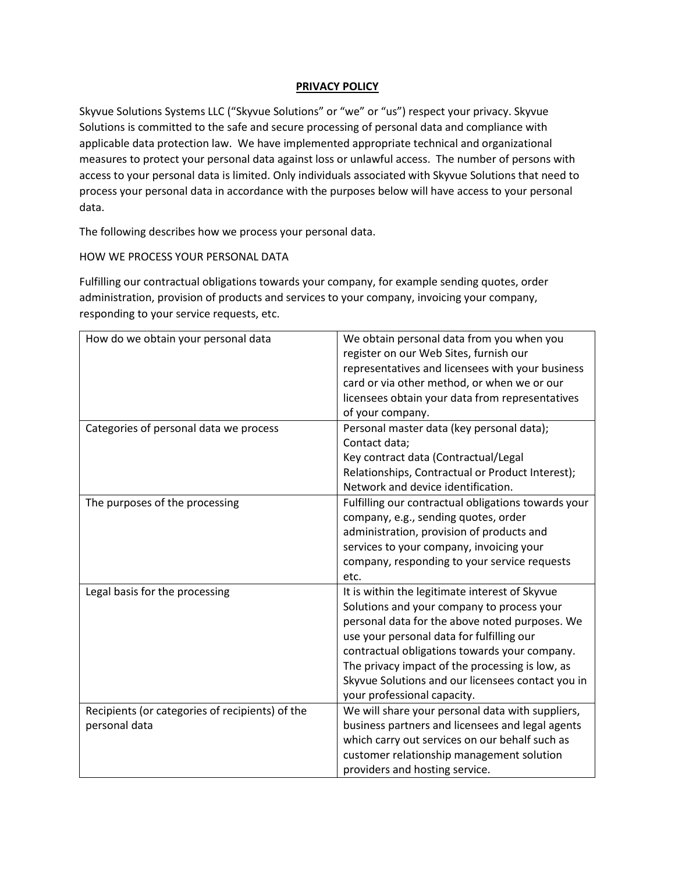## **PRIVACY POLICY**

Skyvue Solutions Systems LLC ("Skyvue Solutions" or "we" or "us") respect your privacy. Skyvue Solutions is committed to the safe and secure processing of personal data and compliance with applicable data protection law. We have implemented appropriate technical and organizational measures to protect your personal data against loss or unlawful access. The number of persons with access to your personal data is limited. Only individuals associated with Skyvue Solutions that need to process your personal data in accordance with the purposes below will have access to your personal data.

The following describes how we process your personal data.

# HOW WE PROCESS YOUR PERSONAL DATA

Fulfilling our contractual obligations towards your company, for example sending quotes, order administration, provision of products and services to your company, invoicing your company, responding to your service requests, etc.

| How do we obtain your personal data             | We obtain personal data from you when you           |
|-------------------------------------------------|-----------------------------------------------------|
|                                                 | register on our Web Sites, furnish our              |
|                                                 | representatives and licensees with your business    |
|                                                 | card or via other method, or when we or our         |
|                                                 | licensees obtain your data from representatives     |
|                                                 | of your company.                                    |
| Categories of personal data we process          | Personal master data (key personal data);           |
|                                                 | Contact data;                                       |
|                                                 | Key contract data (Contractual/Legal                |
|                                                 | Relationships, Contractual or Product Interest);    |
|                                                 | Network and device identification.                  |
| The purposes of the processing                  | Fulfilling our contractual obligations towards your |
|                                                 | company, e.g., sending quotes, order                |
|                                                 | administration, provision of products and           |
|                                                 | services to your company, invoicing your            |
|                                                 | company, responding to your service requests        |
|                                                 | etc.                                                |
| Legal basis for the processing                  | It is within the legitimate interest of Skyvue      |
|                                                 | Solutions and your company to process your          |
|                                                 | personal data for the above noted purposes. We      |
|                                                 | use your personal data for fulfilling our           |
|                                                 | contractual obligations towards your company.       |
|                                                 | The privacy impact of the processing is low, as     |
|                                                 | Skyvue Solutions and our licensees contact you in   |
|                                                 | your professional capacity.                         |
| Recipients (or categories of recipients) of the | We will share your personal data with suppliers,    |
| personal data                                   | business partners and licensees and legal agents    |
|                                                 | which carry out services on our behalf such as      |
|                                                 | customer relationship management solution           |
|                                                 | providers and hosting service.                      |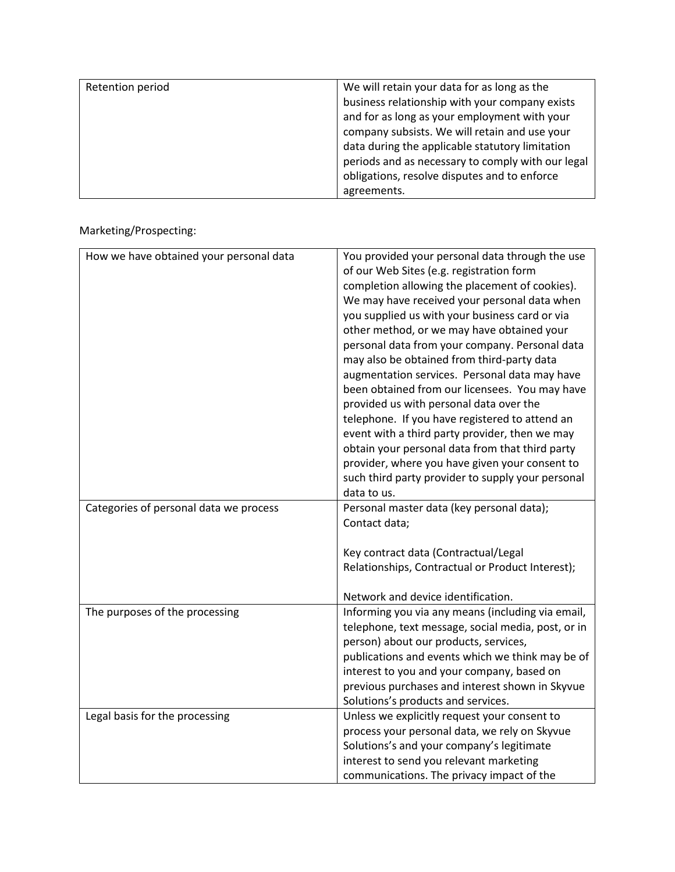| Retention period | We will retain your data for as long as the       |
|------------------|---------------------------------------------------|
|                  | business relationship with your company exists    |
|                  | and for as long as your employment with your      |
|                  | company subsists. We will retain and use your     |
|                  | data during the applicable statutory limitation   |
|                  | periods and as necessary to comply with our legal |
|                  | obligations, resolve disputes and to enforce      |
|                  | agreements.                                       |

Marketing/Prospecting:

| How we have obtained your personal data | You provided your personal data through the use<br>of our Web Sites (e.g. registration form<br>completion allowing the placement of cookies).<br>We may have received your personal data when<br>you supplied us with your business card or via<br>other method, or we may have obtained your<br>personal data from your company. Personal data<br>may also be obtained from third-party data<br>augmentation services. Personal data may have<br>been obtained from our licensees. You may have<br>provided us with personal data over the<br>telephone. If you have registered to attend an<br>event with a third party provider, then we may<br>obtain your personal data from that third party<br>provider, where you have given your consent to<br>such third party provider to supply your personal<br>data to us. |
|-----------------------------------------|--------------------------------------------------------------------------------------------------------------------------------------------------------------------------------------------------------------------------------------------------------------------------------------------------------------------------------------------------------------------------------------------------------------------------------------------------------------------------------------------------------------------------------------------------------------------------------------------------------------------------------------------------------------------------------------------------------------------------------------------------------------------------------------------------------------------------|
| Categories of personal data we process  | Personal master data (key personal data);<br>Contact data;                                                                                                                                                                                                                                                                                                                                                                                                                                                                                                                                                                                                                                                                                                                                                               |
|                                         | Key contract data (Contractual/Legal<br>Relationships, Contractual or Product Interest);                                                                                                                                                                                                                                                                                                                                                                                                                                                                                                                                                                                                                                                                                                                                 |
|                                         | Network and device identification.                                                                                                                                                                                                                                                                                                                                                                                                                                                                                                                                                                                                                                                                                                                                                                                       |
| The purposes of the processing          | Informing you via any means (including via email,<br>telephone, text message, social media, post, or in<br>person) about our products, services,<br>publications and events which we think may be of<br>interest to you and your company, based on<br>previous purchases and interest shown in Skyvue                                                                                                                                                                                                                                                                                                                                                                                                                                                                                                                    |
|                                         | Solutions's products and services.                                                                                                                                                                                                                                                                                                                                                                                                                                                                                                                                                                                                                                                                                                                                                                                       |
| Legal basis for the processing          | Unless we explicitly request your consent to<br>process your personal data, we rely on Skyvue<br>Solutions's and your company's legitimate<br>interest to send you relevant marketing<br>communications. The privacy impact of the                                                                                                                                                                                                                                                                                                                                                                                                                                                                                                                                                                                       |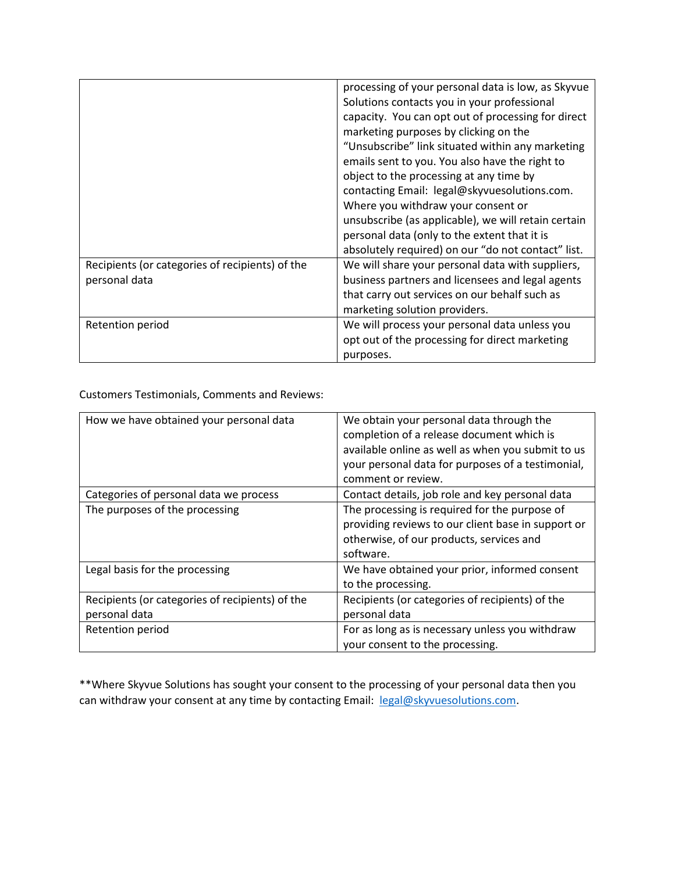|                                                 | processing of your personal data is low, as Skyvue<br>Solutions contacts you in your professional<br>capacity. You can opt out of processing for direct |
|-------------------------------------------------|---------------------------------------------------------------------------------------------------------------------------------------------------------|
|                                                 | marketing purposes by clicking on the                                                                                                                   |
|                                                 | "Unsubscribe" link situated within any marketing                                                                                                        |
|                                                 | emails sent to you. You also have the right to                                                                                                          |
|                                                 | object to the processing at any time by                                                                                                                 |
|                                                 | contacting Email: legal@skyvuesolutions.com.                                                                                                            |
|                                                 | Where you withdraw your consent or                                                                                                                      |
|                                                 | unsubscribe (as applicable), we will retain certain                                                                                                     |
|                                                 | personal data (only to the extent that it is                                                                                                            |
|                                                 | absolutely required) on our "do not contact" list.                                                                                                      |
| Recipients (or categories of recipients) of the | We will share your personal data with suppliers,                                                                                                        |
| personal data                                   | business partners and licensees and legal agents                                                                                                        |
|                                                 | that carry out services on our behalf such as                                                                                                           |
|                                                 | marketing solution providers.                                                                                                                           |
| Retention period                                | We will process your personal data unless you                                                                                                           |
|                                                 | opt out of the processing for direct marketing                                                                                                          |
|                                                 | purposes.                                                                                                                                               |

Customers Testimonials, Comments and Reviews:

| How we have obtained your personal data         | We obtain your personal data through the           |
|-------------------------------------------------|----------------------------------------------------|
|                                                 | completion of a release document which is          |
|                                                 | available online as well as when you submit to us  |
|                                                 | your personal data for purposes of a testimonial,  |
|                                                 | comment or review.                                 |
| Categories of personal data we process          | Contact details, job role and key personal data    |
| The purposes of the processing                  | The processing is required for the purpose of      |
|                                                 | providing reviews to our client base in support or |
|                                                 | otherwise, of our products, services and           |
|                                                 | software.                                          |
| Legal basis for the processing                  | We have obtained your prior, informed consent      |
|                                                 | to the processing.                                 |
| Recipients (or categories of recipients) of the | Recipients (or categories of recipients) of the    |
| personal data                                   | personal data                                      |
| Retention period                                | For as long as is necessary unless you withdraw    |
|                                                 | your consent to the processing.                    |

\*\*Where Skyvue Solutions has sought your consent to the processing of your personal data then you can withdraw your consent at any time by contacting Email: [legal@skyvuesolutions.com.](mailto:legal@skyvuesolutions.com)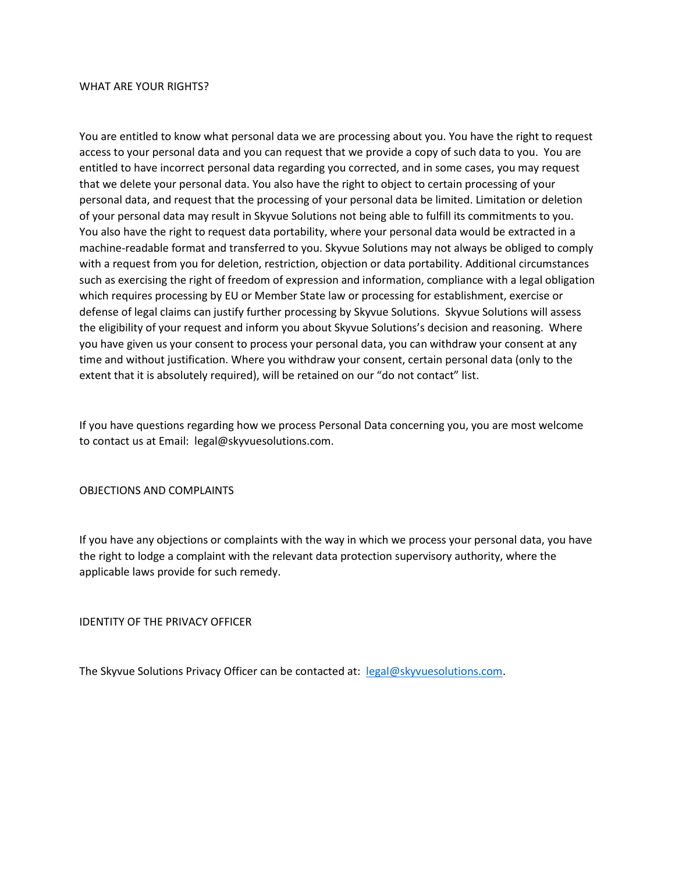#### WHAT ARE YOUR RIGHTS?

You are entitled to know what personal data we are processing about you. You have the right to request access to your personal data and you can request that we provide a copy of such data to you. You are entitled to have incorrect personal data regarding you corrected, and in some cases, you may request that we delete your personal data. You also have the right to object to certain processing of your personal data, and request that the processing of your personal data be limited. Limitation or deletion of your personal data may result in Skyvue Solutions not being able to fulfill its commitments to you. You also have the right to request data portability, where your personal data would be extracted in a machine-readable format and transferred to you. Skyvue Solutions may not always be obliged to comply with a request from you for deletion, restriction, objection or data portability. Additional circumstances such as exercising the right of freedom of expression and information, compliance with a legal obligation which requires processing by EU or Member State law or processing for establishment, exercise or defense of legal claims can justify further processing by Skyvue Solutions. Skyvue Solutions will assess the eligibility of your request and inform you about Skyvue Solutions's decision and reasoning. Where you have given us your consent to process your personal data, you can withdraw your consent at any time and without justification. Where you withdraw your consent, certain personal data (only to the extent that it is absolutely required), will be retained on our "do not contact" list.

If you have questions regarding how we process Personal Data concerning you, you are most welcome to contact us at Email: legal@skyvuesolutions.com.

### OBJECTIONS AND COMPLAINTS

If you have any objections or complaints with the way in which we process your personal data, you have the right to lodge a complaint with the relevant data protection supervisory authority, where the applicable laws provide for such remedy.

IDENTITY OF THE PRIVACY OFFICER

The Skyvue Solutions Privacy Officer can be contacted at: [legal@skyvuesolutions.com.](mailto:legal@skyvuesolutions.com)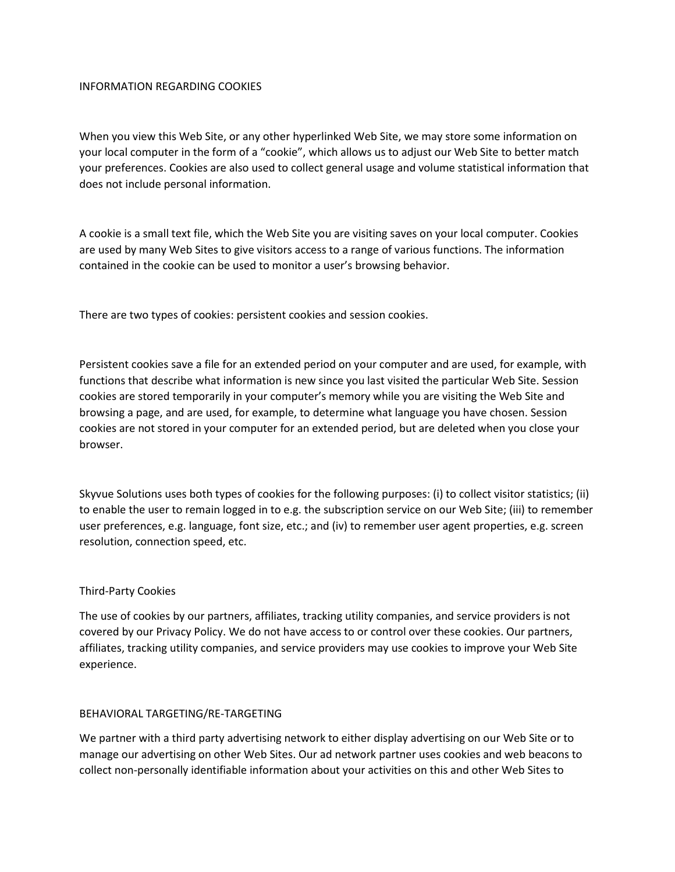### INFORMATION REGARDING COOKIES

When you view this Web Site, or any other hyperlinked Web Site, we may store some information on your local computer in the form of a "cookie", which allows us to adjust our Web Site to better match your preferences. Cookies are also used to collect general usage and volume statistical information that does not include personal information.

A cookie is a small text file, which the Web Site you are visiting saves on your local computer. Cookies are used by many Web Sites to give visitors access to a range of various functions. The information contained in the cookie can be used to monitor a user's browsing behavior.

There are two types of cookies: persistent cookies and session cookies.

Persistent cookies save a file for an extended period on your computer and are used, for example, with functions that describe what information is new since you last visited the particular Web Site. Session cookies are stored temporarily in your computer's memory while you are visiting the Web Site and browsing a page, and are used, for example, to determine what language you have chosen. Session cookies are not stored in your computer for an extended period, but are deleted when you close your browser.

Skyvue Solutions uses both types of cookies for the following purposes: (i) to collect visitor statistics; (ii) to enable the user to remain logged in to e.g. the subscription service on our Web Site; (iii) to remember user preferences, e.g. language, font size, etc.; and (iv) to remember user agent properties, e.g. screen resolution, connection speed, etc.

### Third-Party Cookies

The use of cookies by our partners, affiliates, tracking utility companies, and service providers is not covered by our Privacy Policy. We do not have access to or control over these cookies. Our partners, affiliates, tracking utility companies, and service providers may use cookies to improve your Web Site experience.

### BEHAVIORAL TARGETING/RE-TARGETING

We partner with a third party advertising network to either display advertising on our Web Site or to manage our advertising on other Web Sites. Our ad network partner uses cookies and web beacons to collect non-personally identifiable information about your activities on this and other Web Sites to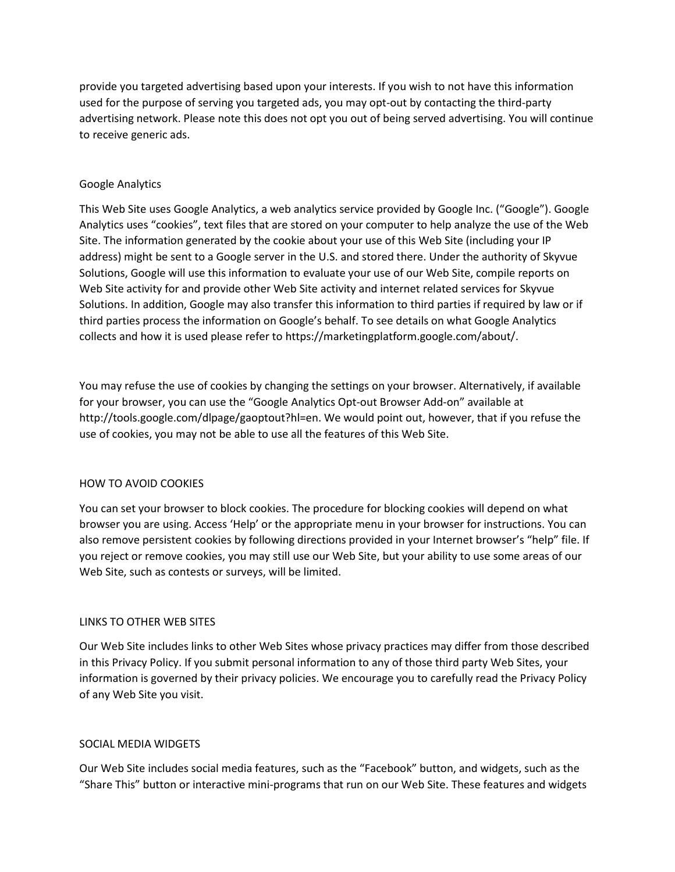provide you targeted advertising based upon your interests. If you wish to not have this information used for the purpose of serving you targeted ads, you may opt-out by contacting the third-party advertising network. Please note this does not opt you out of being served advertising. You will continue to receive generic ads.

### Google Analytics

This Web Site uses Google Analytics, a web analytics service provided by Google Inc. ("Google"). Google Analytics uses "cookies", text files that are stored on your computer to help analyze the use of the Web Site. The information generated by the cookie about your use of this Web Site (including your IP address) might be sent to a Google server in the U.S. and stored there. Under the authority of Skyvue Solutions, Google will use this information to evaluate your use of our Web Site, compile reports on Web Site activity for and provide other Web Site activity and internet related services for Skyvue Solutions. In addition, Google may also transfer this information to third parties if required by law or if third parties process the information on Google's behalf. To see details on what Google Analytics collects and how it is used please refer to https://marketingplatform.google.com/about/.

You may refuse the use of cookies by changing the settings on your browser. Alternatively, if available for your browser, you can use the "Google Analytics Opt-out Browser Add-on" available at http://tools.google.com/dlpage/gaoptout?hl=en. We would point out, however, that if you refuse the use of cookies, you may not be able to use all the features of this Web Site.

### HOW TO AVOID COOKIES

You can set your browser to block cookies. The procedure for blocking cookies will depend on what browser you are using. Access 'Help' or the appropriate menu in your browser for instructions. You can also remove persistent cookies by following directions provided in your Internet browser's "help" file. If you reject or remove cookies, you may still use our Web Site, but your ability to use some areas of our Web Site, such as contests or surveys, will be limited.

### LINKS TO OTHER WEB SITES

Our Web Site includes links to other Web Sites whose privacy practices may differ from those described in this Privacy Policy. If you submit personal information to any of those third party Web Sites, your information is governed by their privacy policies. We encourage you to carefully read the Privacy Policy of any Web Site you visit.

### SOCIAL MEDIA WIDGETS

Our Web Site includes social media features, such as the "Facebook" button, and widgets, such as the "Share This" button or interactive mini-programs that run on our Web Site. These features and widgets